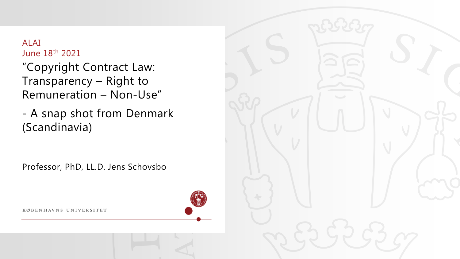#### ALAI June 18th 2021

"Copyright Contract Law: Transparency – Right to Remuneration – Non-Use"

- A snap shot from Denmark (Scandinavia)

Professor, PhD, LL.D. Jens Schovsbo

KØBENHAVNS UNIVERSITET



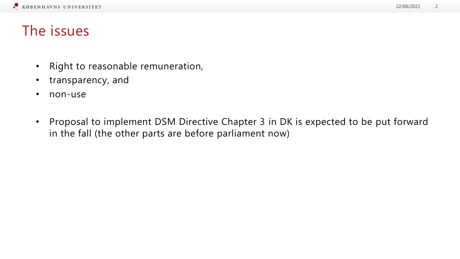### The issues

- Right to reasonable remuneration,
- transparency, and
- non-use
- Proposal to implement DSM Directive Chapter 3 in DK is expected to be put forward in the fall (the other parts are before parliament now)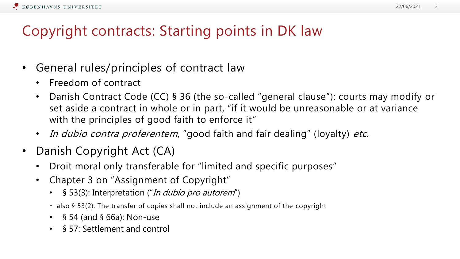# Copyright contracts: Starting points in DK law

- General rules/principles of contract law
	- Freedom of contract
	- Danish Contract Code (CC) § 36 (the so-called "general clause"): courts may modify or set aside a contract in whole or in part, "if it would be unreasonable or at variance with the principles of good faith to enforce it"
	- In dubio contra proferentem, "good faith and fair dealing" (loyalty) etc.
- Danish Copyright Act (CA)
	- Droit moral only transferable for "limited and specific purposes"
	- Chapter 3 on "Assignment of Copyright"
		- § 53(3): Interpretation ("In dubio pro autorem")
		- also § 53(2): The transfer of copies shall not include an assignment of the copyright
		- § 54 (and § 66a): Non-use
		- § 57: Settlement and control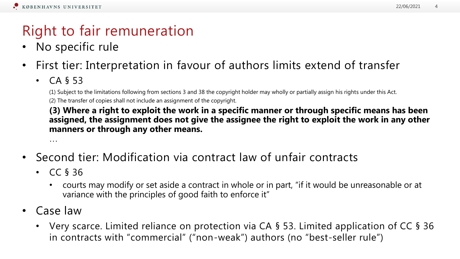# Right to fair remuneration

- No specific rule
- First tier: Interpretation in favour of authors limits extend of transfer
	- $\cdot$  CA § 53

(1) Subject to the limitations following from sections 3 and 38 the copyright holder may wholly or partially assign his rights under this Act. (2) The transfer of copies shall not include an assignment of the copyright.

**(3) Where a right to exploit the work in a specific manner or through specific means has been assigned, the assignment does not give the assignee the right to exploit the work in any other manners or through any other means.**

…

- Second tier: Modification via contract law of unfair contracts
	- CC § 36
		- courts may modify or set aside a contract in whole or in part, "if it would be unreasonable or at variance with the principles of good faith to enforce it"
- Case law
	- Very scarce. Limited reliance on protection via CA § 53. Limited application of CC § 36 in contracts with "commercial" ("non-weak") authors (no "best-seller rule")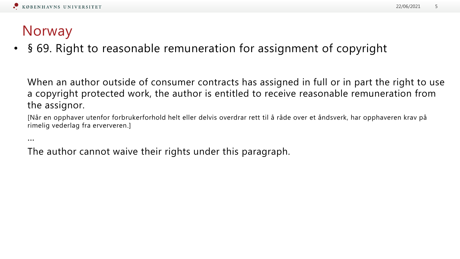### Norway

• § 69. Right to reasonable remuneration for assignment of copyright

When an author outside of consumer contracts has assigned in full or in part the right to use a copyright protected work, the author is entitled to receive reasonable remuneration from the assignor.

[Når en opphaver utenfor forbrukerforhold helt eller delvis overdrar rett til å råde over et åndsverk, har opphaveren krav på rimelig vederlag fra erververen.]

...

The author cannot waive their rights under this paragraph.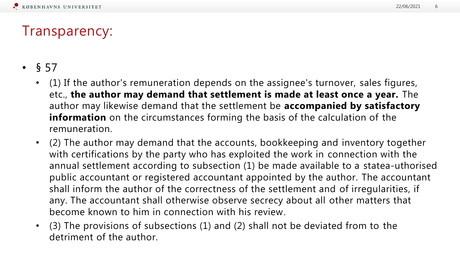# Transparency:

- $§ 57$ 
	- (1) If the author's remuneration depends on the assignee's turnover, sales figures, etc., **the author may demand that settlement is made at least once a year.** The author may likewise demand that the settlement be **accompanied by satisfactory information** on the circumstances forming the basis of the calculation of the remuneration.
	- (2) The author may demand that the accounts, bookkeeping and inventory together with certifications by the party who has exploited the work in connection with the annual settlement according to subsection (1) be made available to a statea-uthorised public accountant or registered accountant appointed by the author. The accountant shall inform the author of the correctness of the settlement and of irregularities, if any. The accountant shall otherwise observe secrecy about all other matters that become known to him in connection with his review.
	- (3) The provisions of subsections (1) and (2) shall not be deviated from to the detriment of the author.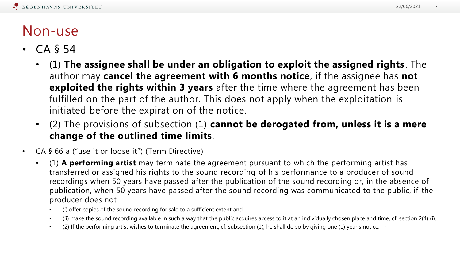#### Non-use

- CA § 54
	- (1) **The assignee shall be under an obligation to exploit the assigned rights**. The author may **cancel the agreement with 6 months notice**, if the assignee has **not exploited the rights within 3 years** after the time where the agreement has been fulfilled on the part of the author. This does not apply when the exploitation is initiated before the expiration of the notice.
	- (2) The provisions of subsection (1) **cannot be derogated from, unless it is a mere change of the outlined time limits**.
- CA § 66 a ("use it or loose it") (Term Directive)
	- (1) **A performing artist** may terminate the agreement pursuant to which the performing artist has transferred or assigned his rights to the sound recording of his performance to a producer of sound recordings when 50 years have passed after the publication of the sound recording or, in the absence of publication, when 50 years have passed after the sound recording was communicated to the public, if the producer does not
		- (i) offer copies of the sound recording for sale to a sufficient extent and
		- (ii) make the sound recording available in such a way that the public acquires access to it at an individually chosen place and time, cf. section 2(4) (i).
		- (2) If the performing artist wishes to terminate the agreement, cf. subsection (1), he shall do so by giving one (1) year's notice.  $\cdots$